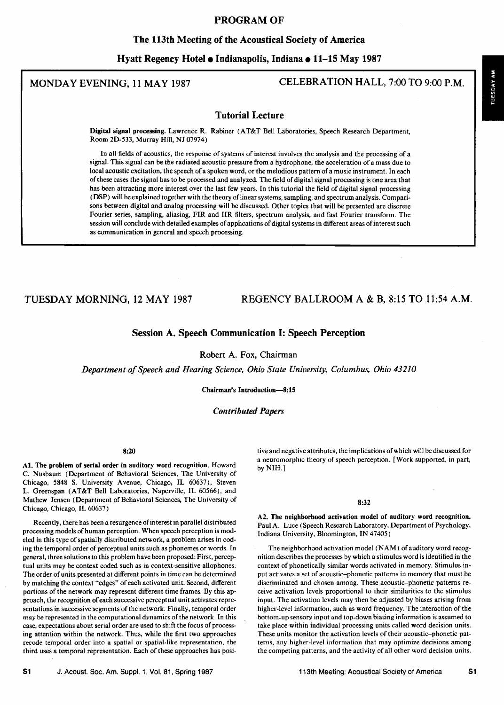# **PROGRAM OF**

### **The 113th Meeting of the Acoustical Society of America**

**Hyatt Regency Hotel © Indianapolis, Indiana ß 11-15 May 1987** 

# **MONDAY EVENING, 11 MAY 1987 CELEBRATION HALL, 7:00 TO 9:00 P.M.**

# **Tutorial Lecture**

**Digital signal processing. Lawrence R. Rabiner (AT&T Bell Laboratories, Speech Research Department, Room 2D-533, Murray Hill, NJ 07974)** 

**In all fields of acoustics, the response of systems of interest involves the analysis and the processing of a signal. This signal can be the radiated acoustic pressure from a hydrophone, the acceleration of a mass due to local acoustic excitation, the speech of a spoken word, or the melodious pattern of a music instrument. In each of these cases the signal has to be processed and analyzed. The field of digital signal processing is one area that has been attracting more interest over the last few years. In this tutorial the field of digital signal processing**  (DSP) will be explained together with the theory of linear systems, sampling, and spectrum analysis. Compari**sons between digital and analog processing will be discussed. Other topics that will be presented are discrete**  Fourier series, sampling, aliasing, FIR and IIR filters, spectrum analysis, and fast Fourier transform. The **session will conclude with detailed examples of applications of digital systems in different areas of interest such as communication in general and speech processing.** 

# **TUESDAY MORNING, 12 MAY 1987 REGENCY BALLROOM A & B, 8:15 TO 11:54 A.M.**

# **Session A. Speech Communication I: Speech Perception**

**Robert A. Fox, Chairman** 

**Department of Speech and Hearing Science, Ohio State University, Columbus, Ohio 432]0** 

**Chairman's Introduction-8:15** 

### **Contributed Papers**

#### **8:20**

**A1. The problem of serial order in auditory word recognition. Howard C. Nusbaum (Department of Behavioral Sciences, The University of**  Chicago, 5848 S. University Avenue, Chicago, IL 60637), Steven **L. Greenspan (AT&T Bell Laboratories, Naperville, IL 60566), and Mathew Jensen (Department of Behavioral Sciences, The University of Chicago, Chicago, IL 60637)** 

**Recently, there has been a resurgence of interest in parallel distributed processing models of human perception. When speech perception is modeled in this type of spatially distributed network, a problem arises in cod**ing the temporal order of perceptual units such as phonemes or words. In **general, three solutions to this problem have been proposed: First, perceptual units may be context coded such as in context-sensitive allophones. The order of units presented at different points in time can be determined by matching the context "edges" of each activated unit. Second, different portions of the network may represent different time frames. By this approach, the recognition of each successive perceptual unit activates representations in successive segments of the network. Finally, temporal order may ba represented in the computational dynamics of the network. In this case, expectations about serial order are used to shift the focus of processing attention within the network. Thus, while the first two approaches recode temporal order into a spatial or spatial-like representation, the third uses a temporal representation. Each of these approaches has posi-** **tive and negative attributes, the implications of which will be discussed for a neuromorphic theory of speech perception. [Work supported, in part, by NIH. ]** 

#### **8:32**

**A2. The neighborhood activation model of auditory word recognition.**  Paul A. Luce (Speech Research Laboratory, Department of Psychology, **Indiana University, Bloomington, IN 47405)** 

**The neighborhood activation model (NAM) of auditory word recognition describes the processes by which a stimulus word is identified in the context of phonetically similar words activated in memory. Stimulus input activates a set of acoustic-phonetic patterns in memory that must be discriminated and chosen among. These acoustic-phonetic patterns receive activation levels proportional to their similarities to the stimulus input. The activation levels may then be adjusted by biases arising from higher-level information, such as word frequency. The interaction of the bottom-up sensory input and top-down biasing information is assumed to take place within individual processing units called word decision units. These units monitor the activation levels of their acoustic-phonetic patterns, any higher-level information that may optimize decisions among the competing patterns, and the activity of all other word decision units.**